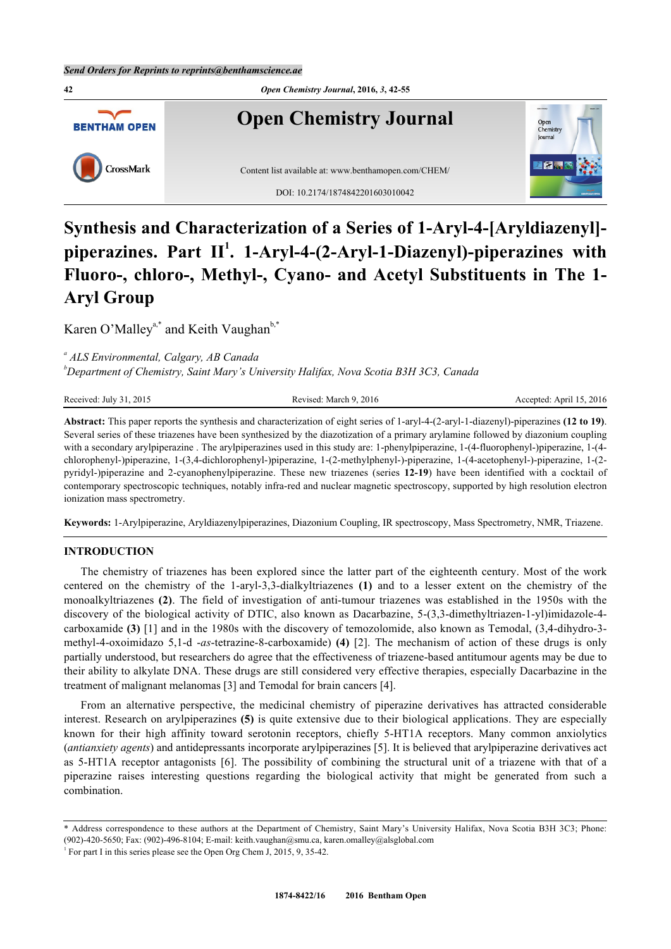

# **Synthesis and Characterization of a Series of 1-Aryl-4-[Aryldiazenyl] piperazines. Part II[1](#page-0-0) . 1-Aryl-4-(2-Aryl-1-Diazenyl)-piperazines with Fluoro-, chloro-, Methyl-, Cyano- and Acetyl Substituents in The 1- Aryl Group**

Karen O'Malley<sup>[a,](#page-0-1)[\\*](#page-0-2)</sup> and Keith Vaughan<sup>[b](#page-0-3),\*</sup>

<span id="page-0-1"></span>*a ALS Environmental, Calgary, AB Canada*

<span id="page-0-3"></span>*<sup>b</sup>Department of Chemistry, Saint Mary's University Halifax, Nova Scotia B3H 3C3, Canada*

Received: July 31, 2015 Revised: March 9, 2016 Revised: April 15, 2016 Accepted: April 15, 2016

**Abstract:** This paper reports the synthesis and characterization of eight series of 1-aryl-4-(2-aryl-1-diazenyl)-piperazines **(12 to 19)**. Several series of these triazenes have been synthesized by the diazotization of a primary arylamine followed by diazonium coupling with a secondary arylpiperazine . The arylpiperazines used in this study are: 1-phenylpiperazine, 1-(4-fluorophenyl-)piperazine, 1-(4chlorophenyl-)piperazine, 1-(3,4-dichlorophenyl-)piperazine, 1-(2-methylphenyl-)-piperazine, 1-(4-acetophenyl-)-piperazine, 1-(2 pyridyl-)piperazine and 2-cyanophenylpiperazine. These new triazenes (series **12-19**) have been identified with a cocktail of contemporary spectroscopic techniques, notably infra-red and nuclear magnetic spectroscopy, supported by high resolution electron ionization mass spectrometry.

**Keywords:** 1-Arylpiperazine, Aryldiazenylpiperazines, Diazonium Coupling, IR spectroscopy, Mass Spectrometry, NMR, Triazene.

# **INTRODUCTION**

The chemistry of triazenes has been explored since the latter part of the eighteenth century. Most of the work centered on the chemistry of the 1-aryl-3,3-dialkyltriazenes **(1)** and to a lesser extent on the chemistry of the monoalkyltriazenes **(2)**. The field of investigation of anti-tumour triazenes was established in the 1950s with the discovery of the biological activity of DTIC, also known as Dacarbazine, 5-(3,3-dimethyltriazen-1-yl)imidazole-4 carboxamide **(3)** [\[1](#page-12-0)] and in the 1980s with the discovery of temozolomide, also known as Temodal, (3,4-dihydro-3 methyl-4-oxoimidazo 5,1-d -*as*-tetrazine-8-carboxamide) **(4)** [[2\]](#page-12-1). The mechanism of action of these drugs is only partially understood, but researchers do agree that the effectiveness of triazene-based antitumour agents may be due to their ability to alkylate DNA. These drugs are still considered very effective therapies, especially Dacarbazine in the treatment of malignant melanomas [[3\]](#page-12-2) and Temodal for brain cancers [[4\]](#page-12-3).

From an alternative perspective, the medicinal chemistry of piperazine derivatives has attracted considerable interest. Research on arylpiperazines **(5)** is quite extensive due to their biological applications. They are especially known for their high affinity toward serotonin receptors, chiefly 5-HT1A receptors. Many common anxiolytics (*antianxiety agents*) and antidepressants incorporate arylpiperazines [\[5](#page-12-4)]. It is believed that arylpiperazine derivatives act as 5-HT1A receptor antagonists [\[6](#page-13-0)]. The possibility of combining the structural unit of a triazene with that of a piperazine raises interesting questions regarding the biological activity that might be generated from such a combination.

<span id="page-0-2"></span><sup>\*</sup> Address correspondence to these authors at the Department of Chemistry, Saint Mary's University Halifax, Nova Scotia B3H 3C3; Phone: (902)-420-5650; Fax: (902)-496-8104; E-mail: [keith.vaughan@smu.ca,](mailto:keith.vaughan@smu.ca) [karen.omalley@alsglobal.com](mailto:karen.omalley@alsglobal.com)

<span id="page-0-0"></span><sup>&</sup>lt;sup>1</sup> For part I in this series please see the Open Org Chem J, 2015, 9, 35-42.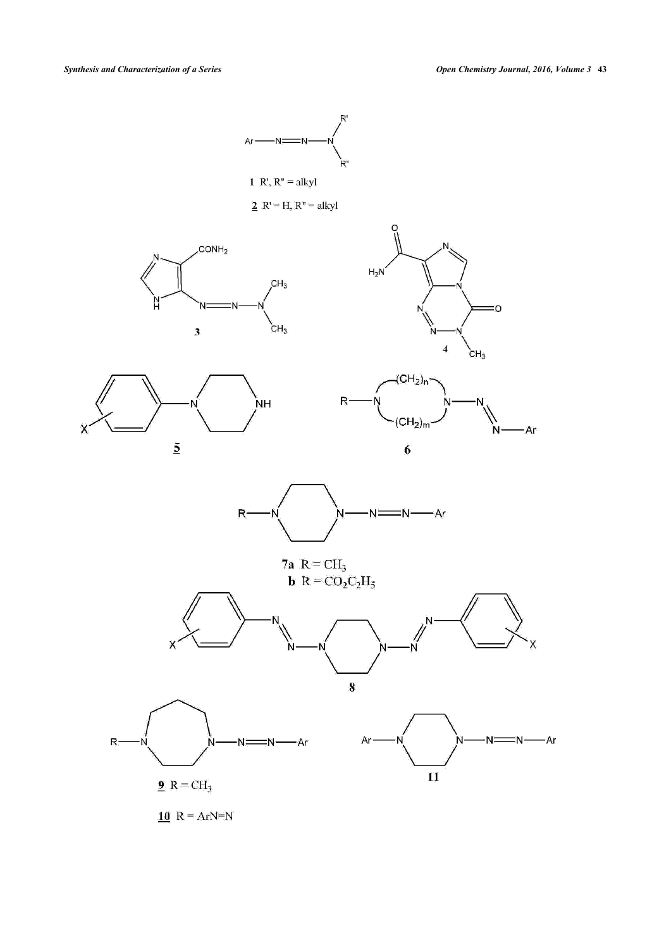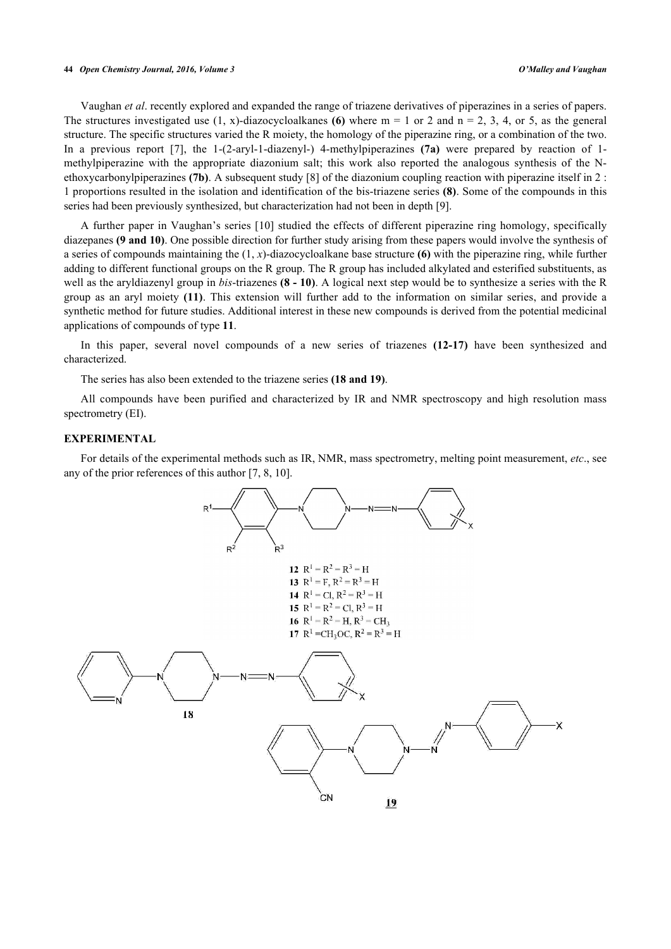#### **44** *Open Chemistry Journal, 2016, Volume 3 O'Malley and Vaughan*

Vaughan *et al*. recently explored and expanded the range of triazene derivatives of piperazines in a series of papers. The structures investigated use  $(1, x)$ -diazocycloalkanes **(6)** where  $m = 1$  or 2 and  $n = 2, 3, 4$ , or 5, as the general structure. The specific structures varied the R moiety, the homology of the piperazine ring, or a combination of the two. In a previous report[[7\]](#page-13-1), the 1-(2-aryl-1-diazenyl-) 4-methylpiperazines **(7a)** were prepared by reaction of 1 methylpiperazine with the appropriate diazonium salt; this work also reported the analogous synthesis of the Nethoxycarbonylpiperazines **(7b)**. A subsequent study [\[8](#page-13-2)] of the diazonium coupling reaction with piperazine itself in 2 : 1 proportions resulted in the isolation and identification of the bis-triazene series **(8)**. Some of the compounds in this series had been previously synthesized, but characterization had not been in depth [\[9](#page-13-3)].

A further paper in Vaughan's series [[10\]](#page-13-4) studied the effects of different piperazine ring homology, specifically diazepanes **(9 and 10)**. One possible direction for further study arising from these papers would involve the synthesis of a series of compounds maintaining the (1, *x*)-diazocycloalkane base structure **(6)** with the piperazine ring, while further adding to different functional groups on the R group. The R group has included alkylated and esterified substituents, as well as the aryldiazenyl group in *bis*-triazenes **(8 - 10)**. A logical next step would be to synthesize a series with the R group as an aryl moiety **(11)**. This extension will further add to the information on similar series, and provide a synthetic method for future studies. Additional interest in these new compounds is derived from the potential medicinal applications of compounds of type **11**.

In this paper, several novel compounds of a new series of triazenes **(12-17)** have been synthesized and characterized.

The series has also been extended to the triazene series **(18 and 19)**.

All compounds have been purified and characterized by IR and NMR spectroscopy and high resolution mass spectrometry (EI).

## **EXPERIMENTAL**

For details of the experimental methods such as IR, NMR, mass spectrometry, melting point measurement, *etc*., see any of the prior references of this author [[7,](#page-13-1) [8,](#page-13-2) [10\]](#page-13-4).

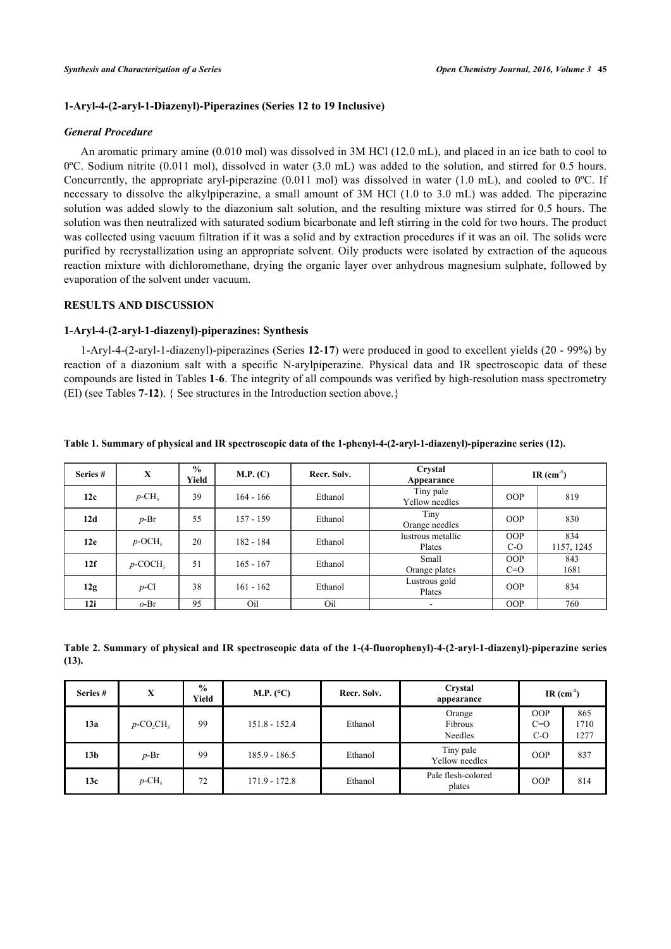# **1-Aryl-4-(2-aryl-1-Diazenyl)-Piperazines (Series 12 to 19 Inclusive)**

## *General Procedure*

An aromatic primary amine (0.010 mol) was dissolved in 3M HCl (12.0 mL), and placed in an ice bath to cool to 0ºC. Sodium nitrite (0.011 mol), dissolved in water (3.0 mL) was added to the solution, and stirred for 0.5 hours. Concurrently, the appropriate aryl-piperazine (0.011 mol) was dissolved in water (1.0 mL), and cooled to 0ºC. If necessary to dissolve the alkylpiperazine, a small amount of 3M HCl (1.0 to 3.0 mL) was added. The piperazine solution was added slowly to the diazonium salt solution, and the resulting mixture was stirred for 0.5 hours. The solution was then neutralized with saturated sodium bicarbonate and left stirring in the cold for two hours. The product was collected using vacuum filtration if it was a solid and by extraction procedures if it was an oil. The solids were purified by recrystallization using an appropriate solvent. Oily products were isolated by extraction of the aqueous reaction mixture with dichloromethane, drying the organic layer over anhydrous magnesium sulphate, followed by evaporation of the solvent under vacuum.

# **RESULTS AND DISCUSSION**

# **1-Aryl-4-(2-aryl-1-diazenyl)-piperazines: Synthesis**

1-Aryl-4-(2-aryl-1-diazenyl)-piperazines (Series **12**-**17**) were produced in good to excellent yields (20 - 99%) by reaction of a diazonium salt with a specific N-arylpiperazine. Physical data and IR spectroscopic data of these compounds are listed in Tables **[1](#page-3-0)**-**[6](#page-5-0)**. The integrity of all compounds was verified by high-resolution mass spectrometry (EI) (see Tables **[7](#page-5-1)**-**[12](#page-6-0)**). { See structures in the Introduction section above.}

| Series # | X                      | $\frac{0}{0}$<br>Yield | M.P. (C)    | Recr. Solv. | Crystal<br>Appearance       |                     | IR $(cm-1)$       |
|----------|------------------------|------------------------|-------------|-------------|-----------------------------|---------------------|-------------------|
| 12c      | $p$ -CH <sub>3</sub>   | 39                     | $164 - 166$ | Ethanol     | Tiny pale<br>Yellow needles | OOP                 | 819               |
| 12d      | $p$ -Br                | 55                     | $157 - 159$ | Ethanol     | Tiny<br>Orange needles      | <b>OOP</b>          | 830               |
| 12e      | $p$ -OCH <sub>3</sub>  | 20                     | $182 - 184$ | Ethanol     | lustrous metallic<br>Plates | <b>OOP</b><br>$C-O$ | 834<br>1157, 1245 |
| 12f      | $p$ -COCH <sub>3</sub> | 51                     | $165 - 167$ | Ethanol     | Small<br>Orange plates      | OOP<br>$C=O$        | 843<br>1681       |
| 12g      | $p$ -Cl                | 38                     | $161 - 162$ | Ethanol     | Lustrous gold<br>Plates     | OOP                 | 834               |
| 12i      | $o$ -Br                | 95                     | Oil         | Oil         | ۰                           | <b>OOP</b>          | 760               |

#### <span id="page-3-0"></span>**Table 1. Summary of physical and IR spectroscopic data of the 1-phenyl-4-(2-aryl-1-diazenyl)-piperazine series (12).**

**Table 2. Summary of physical and IR spectroscopic data of the 1-(4-fluorophenyl)-4-(2-aryl-1-diazenyl)-piperazine series (13).**

| Series #        | X                                    | $\frac{0}{0}$<br>Yield | M.P. $(^{\circ}C)$ | Recr. Solv. | Crystal<br>appearance        | IR $(cm-1)$                  |                     |
|-----------------|--------------------------------------|------------------------|--------------------|-------------|------------------------------|------------------------------|---------------------|
| 13a             | $p$ -CO <sub>2</sub> CH <sub>3</sub> | 99                     | $151.8 - 152.4$    | Ethanol     | Orange<br>Fibrous<br>Needles | <b>OOP</b><br>$C=O$<br>$C-O$ | 865<br>1710<br>1277 |
| 13 <sub>b</sub> | $p$ -Br                              | 99                     | $185.9 - 186.5$    | Ethanol     | Tiny pale<br>Yellow needles  | <b>OOP</b>                   | 837                 |
| 13c             | $p$ -CH <sub>3</sub>                 | 72                     | $171.9 - 172.8$    | Ethanol     | Pale flesh-colored<br>plates | <b>OOP</b>                   | 814                 |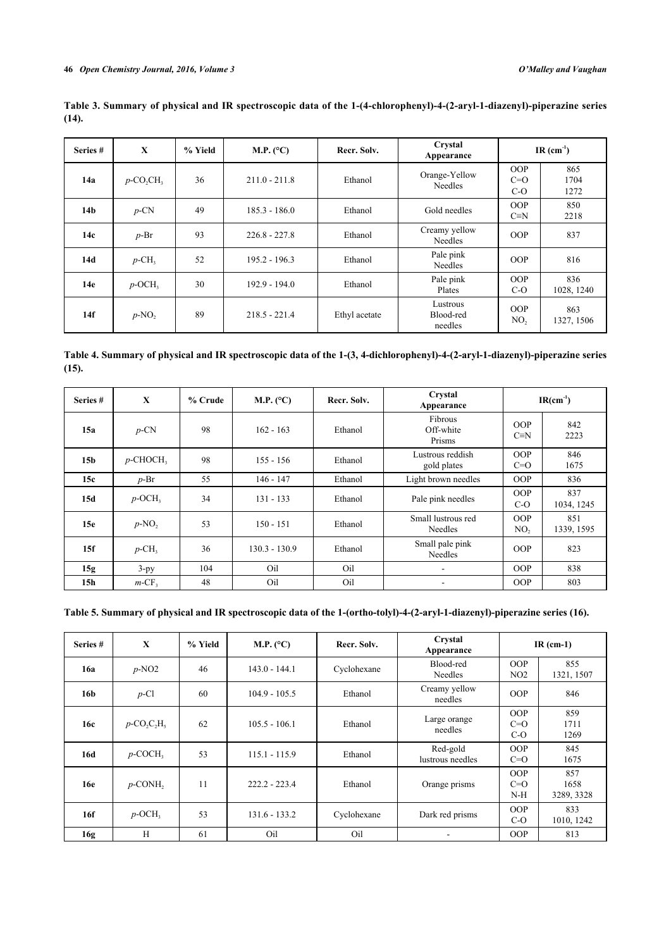| Series #        | $\mathbf{x}$                         | % Yield | M.P. (°C)       | Recr. Solv.   | Crystal<br>Appearance            |                               | IR $(cm-1)$         |
|-----------------|--------------------------------------|---------|-----------------|---------------|----------------------------------|-------------------------------|---------------------|
| 14a             | $p$ -CO <sub>2</sub> CH <sub>3</sub> | 36      | $211.0 - 211.8$ | Ethanol       | Orange-Yellow<br>Needles         | <b>OOP</b><br>$C=O$<br>$C-O$  | 865<br>1704<br>1272 |
| 14 <sub>b</sub> | $p$ -CN                              | 49      | $185.3 - 186.0$ | Ethanol       | Gold needles                     | <b>OOP</b><br>$C \equiv N$    | 850<br>2218         |
| 14c             | $p$ -Br                              | 93      | $226.8 - 227.8$ | Ethanol       | Creamy yellow<br>Needles         | <b>OOP</b>                    | 837                 |
| 14d             | $p$ -CH <sub>3</sub>                 | 52      | $195.2 - 196.3$ | Ethanol       | Pale pink<br>Needles             | <b>OOP</b>                    | 816                 |
| 14e             | $p$ -OCH <sub>3</sub>                | 30      | $192.9 - 194.0$ | Ethanol       | Pale pink<br>Plates              | <b>OOP</b><br>$C-O$           | 836<br>1028, 1240   |
| 14f             | $p$ -NO <sub>2</sub>                 | 89      | $218.5 - 221.4$ | Ethyl acetate | Lustrous<br>Blood-red<br>needles | <b>OOP</b><br>NO <sub>2</sub> | 863<br>1327, 1506   |

**Table 3. Summary of physical and IR spectroscopic data of the 1-(4-chlorophenyl)-4-(2-aryl-1-diazenyl)-piperazine series (14).**

**Table 4. Summary of physical and IR spectroscopic data of the 1-(3, 4-dichlorophenyl)-4-(2-aryl-1-diazenyl)-piperazine series (15).**

| Series #        | $\mathbf{X}$          | % Crude | M.P. $(^{\circ}C)$ | Recr. Solv. | Crystal<br>Appearance                 |                               | $IR(cm^1)$        |
|-----------------|-----------------------|---------|--------------------|-------------|---------------------------------------|-------------------------------|-------------------|
| 15a             | $p$ -CN               | 98      | $162 - 163$        | Ethanol     | <b>Fibrous</b><br>Off-white<br>Prisms | <b>OOP</b><br>$C \equiv N$    | 842<br>2223       |
| 15 <sub>b</sub> | $p$ -CHOCH,           | 98      | $155 - 156$        | Ethanol     | Lustrous reddish<br>gold plates       | <b>OOP</b><br>$C=O$           | 846<br>1675       |
| 15c             | $p$ -Br               | 55      | $146 - 147$        | Ethanol     | Light brown needles                   | <b>OOP</b>                    | 836               |
| 15d             | $p$ -OCH <sub>2</sub> | 34      | 131 - 133          | Ethanol     | Pale pink needles                     | <b>OOP</b><br>$C-O$           | 837<br>1034, 1245 |
| 15e             | $p-NO$ ,              | 53      | $150 - 151$        | Ethanol     | Small lustrous red<br>Needles         | <b>OOP</b><br>NO <sub>2</sub> | 851<br>1339, 1595 |
| 15f             | $p$ -CH <sub>3</sub>  | 36      | $130.3 - 130.9$    | Ethanol     | Small pale pink<br>Needles            | <b>OOP</b>                    | 823               |
| 15g             | $3-py$                | 104     | Oil                | Oil         | $\overline{\phantom{a}}$              | <b>OOP</b>                    | 838               |
| 15h             | $m$ -CF <sub>2</sub>  | 48      | Oil                | Oil         | ۰                                     | <b>OOP</b>                    | 803               |

# **Table 5. Summary of physical and IR spectroscopic data of the 1-(ortho-tolyl)-4-(2-aryl-1-diazenyl)-piperazine series (16).**

| Series #   | $\mathbf{x}$                                       | % Yield | M.P. $(^{\circ}C)$ | Recr. Solv. | Crystal<br>Appearance        |                              | $IR$ (cm-1)               |
|------------|----------------------------------------------------|---------|--------------------|-------------|------------------------------|------------------------------|---------------------------|
| 16a        | $p$ -NO <sub>2</sub>                               | 46      | $143.0 - 144.1$    | Cyclohexane | Blood-red<br>Needles         | <b>OOP</b><br>NO2            | 855<br>1321, 1507         |
| 16b        | $p$ -Cl                                            | 60      | $104.9 - 105.5$    | Ethanol     | Creamy yellow<br>needles     | <b>OOP</b>                   | 846                       |
| 16c        | $p$ -CO <sub>2</sub> C <sub>2</sub> H <sub>5</sub> | 62      | $105.5 - 106.1$    | Ethanol     | Large orange<br>needles      | <b>OOP</b><br>$C=O$<br>$C-O$ | 859<br>1711<br>1269       |
| 16d        | $p$ -COCH <sub>3</sub>                             | 53      | $115.1 - 115.9$    | Ethanol     | Red-gold<br>lustrous needles | <b>OOP</b><br>$C=O$          | 845<br>1675               |
| <b>16e</b> | $p$ -CONH,                                         | 11      | $222.2 - 223.4$    | Ethanol     | Orange prisms                | OOP<br>$C=O$<br>N-H          | 857<br>1658<br>3289, 3328 |
| 16f        | $p$ -OCH <sub>3</sub>                              | 53      | $131.6 - 133.2$    | Cyclohexane | Dark red prisms              | <b>OOP</b><br>$C-O$          | 833<br>1010, 1242         |
| 16g        | H                                                  | 61      | Oil                | Oil         | ۰                            | <b>OOP</b>                   | 813                       |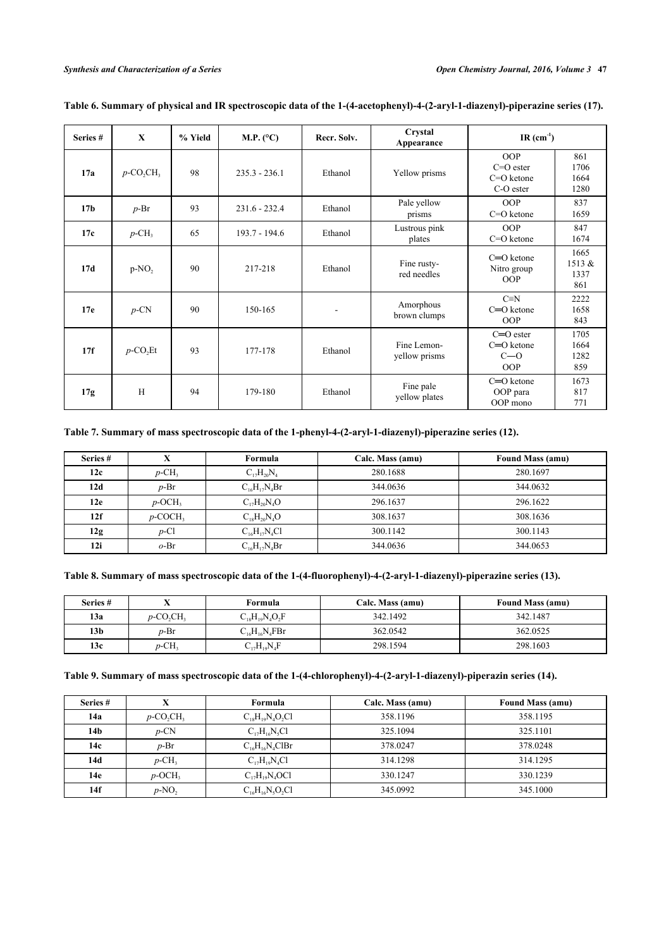| Series #        | X                                    | % Yield | M.P. $(^{\circ}C)$ | Recr. Solv. | Crystal<br>Appearance        | IR $(cm-1)$                                            |                               |
|-----------------|--------------------------------------|---------|--------------------|-------------|------------------------------|--------------------------------------------------------|-------------------------------|
| 17a             | $p$ -CO <sub>2</sub> CH <sub>3</sub> | 98      | $235.3 - 236.1$    | Ethanol     | Yellow prisms                | <b>OOP</b><br>$C=O$ ester<br>$C=O$ ketone<br>C-O ester | 861<br>1706<br>1664<br>1280   |
| 17 <sub>b</sub> | $p$ -Br                              | 93      | $231.6 - 232.4$    | Ethanol     | Pale yellow<br>prisms        | <b>OOP</b><br>$C=O$ ketone                             | 837<br>1659                   |
| 17c             | $p$ -CH <sub>3</sub>                 | 65      | $193.7 - 194.6$    | Ethanol     | Lustrous pink<br>plates      | OOP<br>$C=O$ ketone                                    | 847<br>1674                   |
| 17d             | p-NO <sub>2</sub>                    | 90      | 217-218            | Ethanol     | Fine rusty-<br>red needles   | $C = O$ ketone<br>Nitro group<br>OOP                   | 1665<br>1513 &<br>1337<br>861 |
| 17e             | $p$ -CN                              | 90      | 150-165            |             | Amorphous<br>brown clumps    | $C \equiv N$<br>$C = O$ ketone<br><b>OOP</b>           | 2222<br>1658<br>843           |
| 17f             | $p$ -CO <sub>2</sub> Et              | 93      | 177-178            | Ethanol     | Fine Lemon-<br>yellow prisms | $C=O$ ester<br>$C = O$ ketone<br>$C=0$<br><b>OOP</b>   | 1705<br>1664<br>1282<br>859   |
| 17g             | H                                    | 94      | 179-180            | Ethanol     | Fine pale<br>yellow plates   | $C = O$ ketone<br>OOP para<br>OOP mono                 | 1673<br>817<br>771            |

# <span id="page-5-0"></span>**Table 6. Summary of physical and IR spectroscopic data of the 1-(4-acetophenyl)-4-(2-aryl-1-diazenyl)-piperazine series (17).**

# <span id="page-5-1"></span>**Table 7. Summary of mass spectroscopic data of the 1-phenyl-4-(2-aryl-1-diazenyl)-piperazine series (12).**

| Series # | X                      | Formula               | Calc. Mass (amu) | <b>Found Mass (amu)</b> |
|----------|------------------------|-----------------------|------------------|-------------------------|
| 12c      | $p$ -CH <sub>3</sub>   | $C_{17}H_{20}N_4$     | 280.1688         | 280.1697                |
| 12d      | $p$ -Br                | $C_{16}H_{17}N_{4}Br$ | 344.0636         | 344.0632                |
| 12e      | $p$ -OCH <sub>3</sub>  | $C_{17}H_{20}N_4O$    | 296.1637         | 296.1622                |
| 12f      | $p$ -COCH <sub>3</sub> | $C_{18}H_{20}N_4O$    | 308.1637         | 308.1636                |
| 12g      | $p$ -Cl                | $C_{16}H_{17}N_{4}Cl$ | 300.1142         | 300.1143                |
| 12i      | $o$ -Br                | $C_{16}H_{17}N_{4}Br$ | 344.0636         | 344.0653                |

# **Table 8. Summary of mass spectroscopic data of the 1-(4-fluorophenyl)-4-(2-aryl-1-diazenyl)-piperazine series (13).**

| Series # |                                      | Formula                | Calc. Mass (amu) | <b>Found Mass (amu)</b> |
|----------|--------------------------------------|------------------------|------------------|-------------------------|
| 13a      | $p$ -CO <sub>2</sub> CH <sub>2</sub> | $C_{18}H_{19}N_4O_2F$  | 342.1492         | 342.1487                |
| 13b      | $p$ -Br                              | $C_{16}H_{16}N_{4}FBr$ | 362.0542         | 362.0525                |
| 13c      | $p$ -CH <sub>3</sub>                 | $C_{17}H_{19}N_{4}F$   | 298.1594         | 298.1603                |

# **Table 9. Summary of mass spectroscopic data of the 1-(4-chlorophenyl)-4-(2-aryl-1-diazenyl)-piperazin series (14).**

| Series #        |                                      | Formula                 | Calc. Mass (amu) | <b>Found Mass (amu)</b> |
|-----------------|--------------------------------------|-------------------------|------------------|-------------------------|
| 14a             | $p$ -CO <sub>2</sub> CH <sub>3</sub> | $C_{18}H_{19}N_4O_2Cl$  | 358.1196         | 358.1195                |
| 14 <sub>b</sub> | $p$ -CN                              | $C_{17}H_{16}N_5Cl$     | 325.1094         | 325.1101                |
| 14c             | $p$ -Br                              | $C_{16}H_{16}N_{4}ClBr$ | 378.0247         | 378.0248                |
| 14d             | $p$ -CH <sub>3</sub>                 | $C_{17}H_{19}N_4Cl$     | 314.1298         | 314.1295                |
| 14e             | $p$ -OCH <sub>3</sub>                | $C_{17}H_{19}N_4OCl$    | 330.1247         | 330.1239                |
| 14f             | $p$ -NO <sub>2</sub>                 | $C_{16}H_{16}N_5O_2Cl$  | 345.0992         | 345.1000                |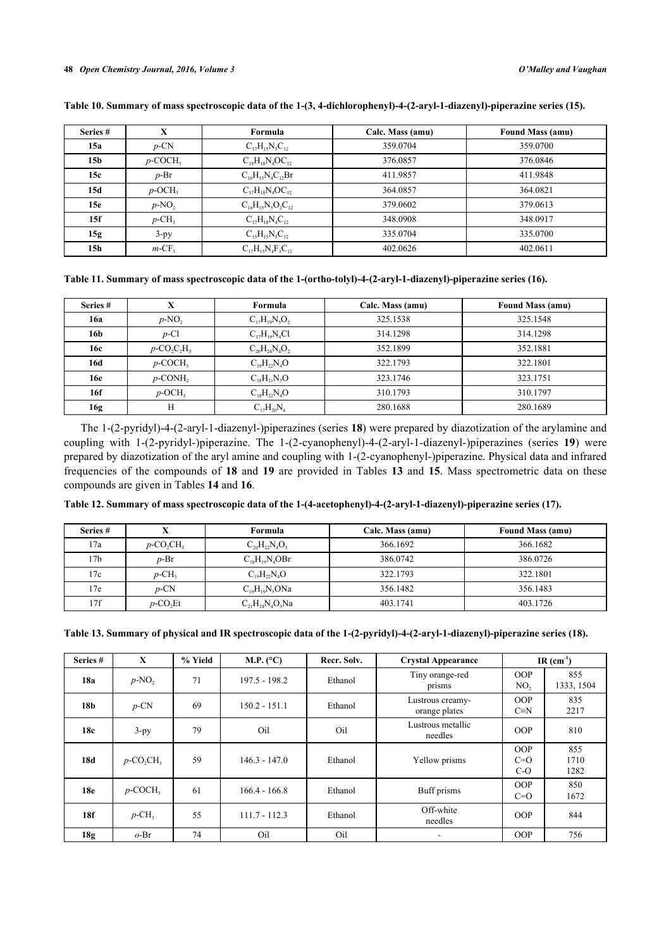| Series #        | X                      | Formula                    | Calc. Mass (amu) | <b>Found Mass (amu)</b> |
|-----------------|------------------------|----------------------------|------------------|-------------------------|
| 15a             | $p$ -CN                | $C_{17}H_{15}N_5C_{12}$    | 359.0704         | 359,0700                |
| 15b             | $p$ -COCH <sub>3</sub> | $C_{18}H_{18}N_4OC_{12}$   | 376.0857         | 376.0846                |
| 15c             | $p-Br$                 | $C_{16}H_{15}N_4C_{12}Br$  | 411.9857         | 411.9848                |
| 15d             | $p$ -OCH <sub>3</sub>  | $C_{17}H_{18}N_4OC_{12}$   | 364.0857         | 364.0821                |
| 15e             | $p$ -NO <sub>2</sub>   | $C_{16}H_{15}N_5O_2C_{12}$ | 379.0602         | 379.0613                |
| 15f             | $p$ -CH <sub>3</sub>   | $C_{17}H_{18}N_4C_{12}$    | 348,0908         | 348.0917                |
| 15g             | $3 - py$               | $C_{15}H_{15}N_5C_{12}$    | 335.0704         | 335,0700                |
| 15 <sub>h</sub> | $m$ -CF <sub>3</sub>   | $C_{17}H_{15}N_4F_3C_{12}$ | 402.0626         | 402.0611                |

**Table 10. Summary of mass spectroscopic data of the 1-(3, 4-dichlorophenyl)-4-(2-aryl-1-diazenyl)-piperazine series (15).**

**Table 11. Summary of mass spectroscopic data of the 1-(ortho-tolyl)-4-(2-aryl-1-diazenyl)-piperazine series (16).**

| Series #   | X                                                  | Formula              | Calc. Mass (amu) | <b>Found Mass (amu)</b> |
|------------|----------------------------------------------------|----------------------|------------------|-------------------------|
| 16a        | $p$ -NO <sub>2</sub>                               | $C_{17}H_{19}N_5O_2$ | 325.1538         | 325.1548                |
| 16b        | $p$ -Cl                                            | $C_{17}H_{19}N_4Cl$  | 314.1298         | 314.1298                |
| 16c        | $p$ -CO <sub>2</sub> C <sub>2</sub> H <sub>5</sub> | $C_{20}H_{24}N_4O_2$ | 352.1899         | 352.1881                |
| 16d        | $p$ -COCH <sub>3</sub>                             | $C_{19}H_{22}N_4O$   | 322.1793         | 322.1801                |
| <b>16e</b> | $p$ -CONH,                                         | $C_{18}H_{21}N_5O$   | 323.1746         | 323.1751                |
| 16f        | $p$ -OCH <sub>3</sub>                              | $C_{18}H_{22}N_4O$   | 310.1793         | 310.1797                |
| 16g        | H                                                  | $C_{17}H_{20}N_4$    | 280.1688         | 280.1689                |

The 1-(2-pyridyl)-4-(2-aryl-1-diazenyl-)piperazines (series **18**) were prepared by diazotization of the arylamine and coupling with 1-(2-pyridyl-)piperazine. The 1-(2-cyanophenyl)-4-(2-aryl-1-diazenyl-)piperazines (series **19**) were prepared by diazotization of the aryl amine and coupling with 1-(2-cyanophenyl-)piperazine. Physical data and infrared frequencies of the compounds of **18** and **19** are provided in Tables **[13](#page-6-1)** and **[15](#page-7-0)**. Mass spectrometric data on these compounds are given in Tables **[14](#page-7-1)** and **[16](#page-7-2)**.

<span id="page-6-0"></span>

| Table 12. Summary of mass spectroscopic data of the 1-(4-acetophenyl)-4-(2-aryl-1-diazenyl)-piperazine series (17). |  |  |  |
|---------------------------------------------------------------------------------------------------------------------|--|--|--|
|                                                                                                                     |  |  |  |

| Series #        |                                      | Formula                | Calc. Mass (amu) | <b>Found Mass (amu)</b> |
|-----------------|--------------------------------------|------------------------|------------------|-------------------------|
| 17a             | $p$ -CO <sub>2</sub> CH <sub>3</sub> | $C_{20}H_{22}N_4O_3$   | 366.1692         | 366.1682                |
| 17 <sub>b</sub> | $p$ -Br                              | $C_{18}H_{19}N_4OBr$   | 386.0742         | 386.0726                |
| 17c             | $p$ -CH <sub>3</sub>                 | $C_{19}H_{22}N_4O$     | 322.1793         | 322.1801                |
| 17e             | $p$ -CN                              | $C_{19}H_{19}N_5ONa$   | 356.1482         | 356.1483                |
| 17f             | $p$ -CO <sub>2</sub> Et              | $C_{21}H_{24}N_4O_3Na$ | 403.1741         | 403.1726                |

<span id="page-6-1"></span>

| Table 13. Summary of physical and IR spectroscopic data of the 1-(2-pyridyl)-4-(2-aryl-1-diazenyl)-piperazine series (18). |  |  |  |  |
|----------------------------------------------------------------------------------------------------------------------------|--|--|--|--|
|----------------------------------------------------------------------------------------------------------------------------|--|--|--|--|

| Series #        | $\mathbf{X}$                         | % Yield | M.P. $(^{\circ}C)$ | Recr. Solv. | <b>Crystal Appearance</b>         |                               | IR $(cm-1)$         |
|-----------------|--------------------------------------|---------|--------------------|-------------|-----------------------------------|-------------------------------|---------------------|
| 18a             | $p$ -NO <sub>2</sub>                 | 71      | $197.5 - 198.2$    | Ethanol     | Tiny orange-red<br>prisms         | <b>OOP</b><br>NO <sub>2</sub> | 855<br>1333, 1504   |
| 18 <sub>b</sub> | $p$ -CN                              | 69      | $150.2 - 151.1$    | Ethanol     | Lustrous creamy-<br>orange plates | <b>OOP</b><br>$C \equiv N$    | 835<br>2217         |
| 18c             | $3$ -py                              | 79      | Oil                | Oil         | Lustrous metallic<br>needles      | <b>OOP</b>                    | 810                 |
| 18d             | $p$ -CO <sub>2</sub> CH <sub>3</sub> | 59      | $146.3 - 147.0$    | Ethanol     | Yellow prisms                     | <b>OOP</b><br>$C=O$<br>$C-O$  | 855<br>1710<br>1282 |
| <b>18e</b>      | $p$ -COCH <sub>3</sub>               | 61      | $166.4 - 166.8$    | Ethanol     | Buff prisms                       | <b>OOP</b><br>$C=O$           | 850<br>1672         |
| 18f             | $p$ -CH <sub>3</sub>                 | 55      | $111.7 - 112.3$    | Ethanol     | Off-white<br>needles              | OOP                           | 844                 |
| 18g             | $o-Br$                               | 74      | Oil                | Oil         | ۰                                 | <b>OOP</b>                    | 756                 |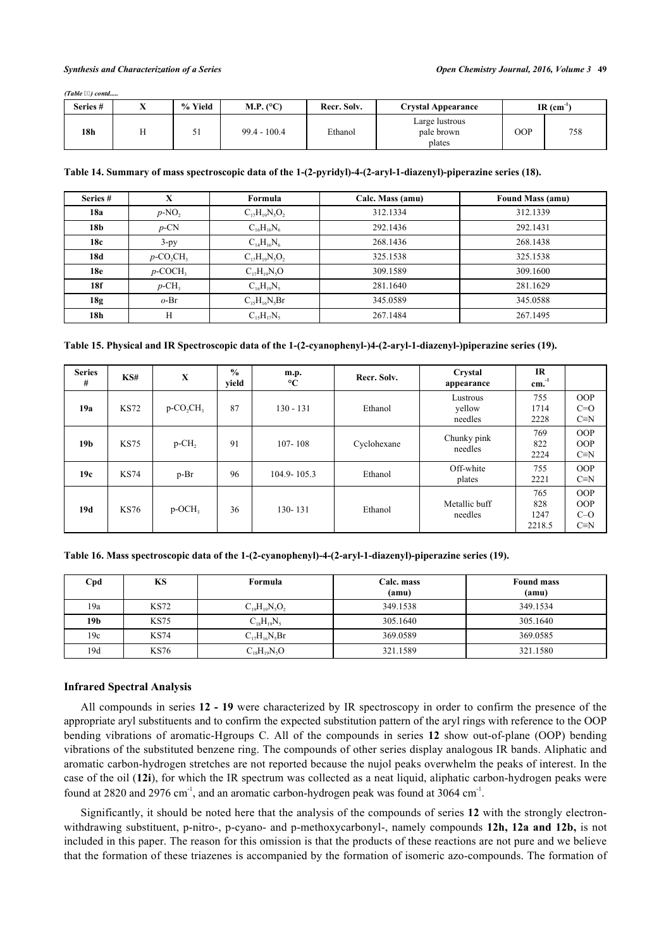*(Table ) contd.....*

| Series # | $\overline{ }$ | % Yield     | M.P. $(^{\circ}C)$ | Recr. Solv. | <b>Crystal Appearance</b>              |     | $IR$ (cm <sup>-1</sup> ) |
|----------|----------------|-------------|--------------------|-------------|----------------------------------------|-----|--------------------------|
| 18h      |                | $_{\rm 51}$ | $99.4 - 100.4$     | Ethanol     | Large lustrous<br>pale brown<br>plates | OOP | 758                      |

#### <span id="page-7-1"></span>**Table 14. Summary of mass spectroscopic data of the 1-(2-pyridyl)-4-(2-aryl-1-diazenyl)-piperazine series (18).**

| Series #        | X                                    | Formula              | Calc. Mass (amu) | <b>Found Mass (amu)</b> |
|-----------------|--------------------------------------|----------------------|------------------|-------------------------|
| 18a             | $p$ -NO <sub>2</sub>                 | $C_{17}H_{19}N_5O_2$ | 312.1334         | 312.1339                |
| 18 <sub>b</sub> | $p$ -CN                              | $C_{16}H_{16}N_6$    | 292.1436         | 292.1431                |
| 18c             | $3-py$                               | $C_{14}H_{16}N_6$    | 268.1436         | 268.1438                |
| 18d             | $p$ -CO <sub>2</sub> CH <sub>3</sub> | $C_{17}H_{19}N_5O_2$ | 325.1538         | 325.1538                |
| <b>18e</b>      | $p$ -COCH <sub>3</sub>               | $C_{17}H_{19}N_5O$   | 309.1589         | 309.1600                |
| 18f             | $p$ -CH <sub>3</sub>                 | $C_{16}H_{19}N_5$    | 281.1640         | 281.1629                |
| 18g             | $o-Br$                               | $C_{15}H_{16}N_5Br$  | 345.0589         | 345.0588                |
| 18h             | H                                    | $C_{15}H_{17}N_5$    | 267.1484         | 267.1495                |

## <span id="page-7-0"></span>**Table 15. Physical and IR Spectroscopic data of the 1-(2-cyanophenyl-)4-(2-aryl-1-diazenyl-)piperazine series (19).**

| <b>Series</b><br># | KS#         | X                                    | $\frac{6}{9}$<br>yield | m.p.<br>$\rm ^{\circ}C$ | Recr. Solv. | Crystal<br>appearance         | <b>IR</b><br>$-1$<br>cm.     |                                                   |
|--------------------|-------------|--------------------------------------|------------------------|-------------------------|-------------|-------------------------------|------------------------------|---------------------------------------------------|
| 19a                | <b>KS72</b> | $p$ -CO <sub>2</sub> CH <sub>3</sub> | 87                     | $130 - 131$             | Ethanol     | Lustrous<br>yellow<br>needles | 755<br>1714<br>2228          | <b>OOP</b><br>$C=O$<br>$C \equiv N$               |
| 19 <sub>b</sub>    | <b>KS75</b> | $p$ -CH <sub>2</sub>                 | 91                     | $107 - 108$             | Cyclohexane | Chunky pink<br>needles        | 769<br>822<br>2224           | <b>OOP</b><br><b>OOP</b><br>$C \equiv N$          |
| 19c                | <b>KS74</b> | p-Br                                 | 96                     | 104.9-105.3             | Ethanol     | Off-white<br>plates           | 755<br>2221                  | <b>OOP</b><br>$C \equiv N$                        |
| 19d                | <b>KS76</b> | $p-OCH3$                             | 36                     | 130-131                 | Ethanol     | Metallic buff<br>needles      | 765<br>828<br>1247<br>2218.5 | <b>OOP</b><br><b>OOP</b><br>$C-O$<br>$C \equiv N$ |

#### <span id="page-7-2"></span>**Table 16. Mass spectroscopic data of the 1-(2-cyanophenyl)-4-(2-aryl-1-diazenyl)-piperazine series (19).**

| Cpd | KS          | Formula              | Calc. mass | <b>Found mass</b> |
|-----|-------------|----------------------|------------|-------------------|
|     |             |                      | (amu)      | (amu)             |
| 19a | <b>KS72</b> | $C_{19}H_{19}N_5O_2$ | 349.1538   | 349.1534          |
| 19b | <b>KS75</b> | $C_{18}H_{19}N_5$    | 305.1640   | 305.1640          |
| 19c | <b>KS74</b> | $C_{17}H_{16}N_5Br$  | 369.0589   | 369.0585          |
| 19d | <b>KS76</b> | $C_{18}H_{19}N_5O$   | 321.1589   | 321.1580          |

# **Infrared Spectral Analysis**

All compounds in series **12 - 19** were characterized by IR spectroscopy in order to confirm the presence of the appropriate aryl substituents and to confirm the expected substitution pattern of the aryl rings with reference to the OOP bending vibrations of aromatic-Hgroups C. All of the compounds in series **12** show out-of-plane (OOP) bending vibrations of the substituted benzene ring. The compounds of other series display analogous IR bands. Aliphatic and aromatic carbon-hydrogen stretches are not reported because the nujol peaks overwhelm the peaks of interest. In the case of the oil (**12i**), for which the IR spectrum was collected as a neat liquid, aliphatic carbon-hydrogen peaks were found at 2820 and 2976 cm<sup>-1</sup>, and an aromatic carbon-hydrogen peak was found at 3064 cm<sup>-1</sup>.

Significantly, it should be noted here that the analysis of the compounds of series **12** with the strongly electronwithdrawing substituent, p-nitro-, p-cyano- and p-methoxycarbonyl-, namely compounds **12h, 12a and 12b,** is not included in this paper. The reason for this omission is that the products of these reactions are not pure and we believe that the formation of these triazenes is accompanied by the formation of isomeric azo-compounds. The formation of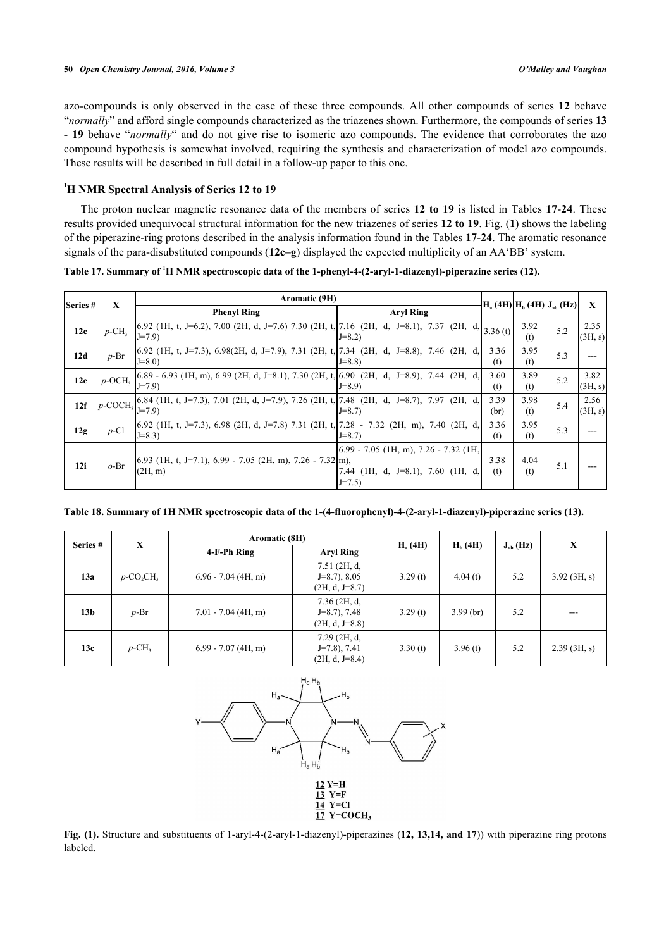azo-compounds is only observed in the case of these three compounds. All other compounds of series **12** behave "*normally*" and afford single compounds characterized as the triazenes shown. Furthermore, the compounds of series **13 - 19** behave "*normally*" and do not give rise to isomeric azo compounds. The evidence that corroborates the azo compound hypothesis is somewhat involved, requiring the synthesis and characterization of model azo compounds. These results will be described in full detail in a follow-up paper to this one.

## **<sup>1</sup>H NMR Spectral Analysis of Series 12 to 19**

The proton nuclear magnetic resonance data of the members of series **12 to 19** is listed in Tables **[17](#page-8-0)**-**[24](#page-12-5)**. These results provided unequivocal structural information for the new triazenes of series **12 to 19**. Fig. (**[1](#page-8-1)**) shows the labeling of the piperazine-ring protons described in the analysis information found in the Tables **[17](#page-8-0)**-**[24](#page-12-5)**. The aromatic resonance signals of the para-disubstituted compounds (**12c–g**) displayed the expected multiplicity of an AA'BB' system.

<span id="page-8-0"></span>

| Table 17. Summary of <sup>1</sup> H NMR spectroscopic data of the 1-phenyl-4-(2-aryl-1-diazenyl)-piperazine series (12). |  |  |  |  |  |  |  |
|--------------------------------------------------------------------------------------------------------------------------|--|--|--|--|--|--|--|
|                                                                                                                          |  |  |  |  |  |  |  |

| Series # | X                     | Aromatic (9H)                                                                                                                                |                                                                                       |              | $ H_a(4H) H_b(4H) J_{ab}(Hz) $ |     | $\mathbf x$     |
|----------|-----------------------|----------------------------------------------------------------------------------------------------------------------------------------------|---------------------------------------------------------------------------------------|--------------|--------------------------------|-----|-----------------|
|          |                       | <b>Phenyl Ring</b>                                                                                                                           | <b>Aryl Ring</b>                                                                      |              |                                |     |                 |
| 12c      | $p$ -CH <sub>3</sub>  | $(6.92 \text{ (1H, t, J=6.2)}, 7.00 \text{ (2H, d, J=7.6)} 7.30 \text{ (2H, t, 7.16)} 2H, d, J=8.1), 7.37 \text{ (2H, d, J=6.2)}$<br>$J=7.9$ | $J=8.2$                                                                               | 3.36(t)      | 3.92<br>(t)                    | 5.2 | 2.35<br>(3H, s) |
| 12d      | $p$ -Br               | $(6.92 \text{ (1H, t, J=7.3)}, 6.98(2H, d, J=7.9), 7.31 \text{ (2H, t, 7.34 (2H, d, J=8.8)}, 7.46 \text{ (2H, d,$<br>$J=8.0$                 | $J=8.8$                                                                               | 3.36<br>(t)  | 3.95<br>(t)                    | 5.3 | $---$           |
| 12e      | $p$ -OCH <sub>3</sub> | $(6.89 - 6.93)$ (1H, m), 6.99 (2H, d, J=8.1), 7.30 (2H, t, $(6.90)$ (2H, d, J=8.9), 7.44 (2H, d,<br>$J=7.9$                                  | $J=8.9$                                                                               | 3.60<br>(t)  | 3.89<br>(t)                    | 5.2 | 3.82<br>(3H, s) |
| 12f      | $p$ -COCH,            | $[6.84 \ (1H, t, J=7.3), 7.01 \ (2H, d, J=7.9), 7.26 \ (2H, t, 7.48 \ (2H, d, J=8.7), 7.97 \ (2H, d, J=8.7),$<br>$J=7.9$                     | $J=8.7$                                                                               | 3.39<br>(br) | 3.98<br>(t)                    | 5.4 | 2.56<br>(3H, s) |
| 12g      | $p$ -Cl               | $(6.92 \text{ (1H, t, J=7.3)}, 6.98 \text{ (2H, d, J=7.8)}$ 7.31 (2H, t, 7.28 - 7.32 (2H, m), 7.40 (2H, d,<br>$J=8.3$                        | $J=8.7$                                                                               | 3.36<br>(t)  | 3.95<br>(t)                    | 5.3 |                 |
| 12i      | $o-Br$                | $(6.93 \text{ (1H, t, J=7.1)}, 6.99 - 7.05 \text{ (2H, m)}, 7.26 - 7.32 \text{ m})$<br>(2H, m)                                               | 6.99 - 7.05 (1H, m), 7.26 - 7.32 (1H,<br>7.44 (1H, d, J=8.1), 7.60 (1H, d,<br>$J=7.5$ | 3.38<br>(t)  | 4.04<br>(t)                    | 5.1 |                 |

<span id="page-8-2"></span>**Table 18. Summary of 1H NMR spectroscopic data of the 1-(4-fluorophenyl)-4-(2-aryl-1-diazenyl)-piperazine series (13).**

| Series #        | X                                    |                       | Aromatic (8H)                                        |                     |             |               | X              |
|-----------------|--------------------------------------|-----------------------|------------------------------------------------------|---------------------|-------------|---------------|----------------|
|                 |                                      | 4-F-Ph Ring           | <b>Aryl Ring</b>                                     | H <sub>a</sub> (4H) | $H_h$ (4H)  | $J_{ab}$ (Hz) |                |
| 13a             | $p$ -CO <sub>2</sub> CH <sub>3</sub> | $6.96 - 7.04$ (4H, m) | $7.51$ (2H, d,<br>$J=8.7$ , 8.05<br>$(2H, d, J=8.7)$ | 3.29(t)             | 4.04(t)     | 5.2           | $3.92$ (3H, s) |
| 13 <sub>b</sub> | $p$ -Br                              | $7.01 - 7.04$ (4H, m) | $7.36$ (2H, d,<br>$J=8.7$ , 7.48<br>$(2H, d, J=8.8)$ | 3.29(t)             | $3.99$ (br) | 5.2           | ---            |
| 13c             | $p$ -CH <sub>3</sub>                 | $6.99 - 7.07$ (4H, m) | $7.29$ (2H, d,<br>$J=7.8$ , 7.41<br>$(2H, d, J=8.4)$ | 3.30(t)             | 3.96(t)     | 5.2           | 2.39(3H, s)    |



 $17$  Y=COCH<sub>3</sub>

<span id="page-8-1"></span>**Fig. (1).** Structure and substituents of 1-aryl-4-(2-aryl-1-diazenyl)-piperazines (**12, 13,14, and 17**)) with piperazine ring protons labeled.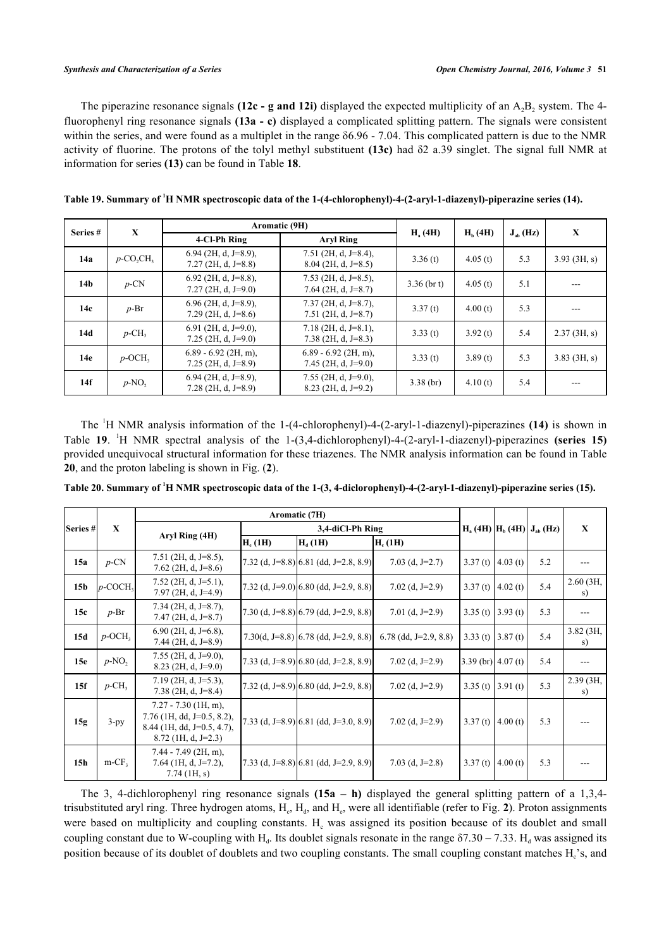The piperazine resonance signals **(12c - g and 12i)** displayed the expected multiplicity of an  $A_2B_2$  system. The 4fluorophenyl ring resonance signals **(13a - c)** displayed a complicated splitting pattern. The signals were consistent within the series, and were found as a multiplet in the range δ6.96 - 7.04. This complicated pattern is due to the NMR activity of fluorine. The protons of the tolyl methyl substituent **(13c)** had δ2 a.39 singlet. The signal full NMR at information for series **(13)** can be found in Table **[18](#page-8-2)**.

| Series #        | $\mathbf X$                          |                                                 | Aromatic (9H)                                   | H <sub>a</sub> (4H) | $Hb$ (4H) | $J_{ab}$ (Hz) | X              |  |
|-----------------|--------------------------------------|-------------------------------------------------|-------------------------------------------------|---------------------|-----------|---------------|----------------|--|
|                 |                                      | 4-Cl-Ph Ring                                    | <b>Aryl Ring</b>                                |                     |           |               |                |  |
| 14a             | $p$ -CO <sub>2</sub> CH <sub>3</sub> | $6.94$ (2H, d, J=8.9),<br>$7.27$ (2H, d, J=8.8) | $7.51$ (2H, d, J=8.4),<br>$8.04$ (2H, d, J=8.5) | 3.36(t)             | 4.05(t)   | 5.3           | $3.93$ (3H, s) |  |
| 14 <sub>b</sub> | $p$ -CN                              | $6.92$ (2H, d, J=8.8),<br>$7.27$ (2H, d, J=9.0) | 7.53 (2H, d, J=8.5),<br>7.64 (2H, d, $J=8.7$ )  | $3.36$ (br t)       | 4.05(t)   | 5.1           | $---$          |  |
| 14c             | $p$ -Br                              | $6.96$ (2H, d, J=8.9),<br>7.29 (2H, d, J=8.6)   | $7.37$ (2H, d, J=8.7),<br>$7.51$ (2H, d, J=8.7) | 3.37(t)             | 4.00(t)   | 5.3           |                |  |
| 14d             | $p$ -CH <sub>2</sub>                 | $6.91$ (2H, d, J=9.0),<br>$7.25$ (2H, d, J=9.0) | $7.18$ (2H, d, J=8.1),<br>$7.38$ (2H, d, J=8.3) | 3.33(t)             | 3.92(t)   | 5.4           | 2.37(3H, s)    |  |
| 14e             | $p$ -OCH <sub>3</sub>                | $6.89 - 6.92$ (2H, m),<br>$7.25$ (2H, d, J=8.9) | $6.89 - 6.92$ (2H, m),<br>7.45 (2H, d, J=9.0)   | 3.33(t)             | 3.89(t)   | 5.3           | $3.83$ (3H, s) |  |
| 14f             | $p$ -NO <sub>2</sub>                 | $6.94$ (2H, d, J=8.9),<br>$7.28$ (2H, d, J=8.9) | 7.55 (2H, d, J=9.0),<br>$8.23$ (2H, d, J=9.2)   | $3.38$ (br)         | 4.10(t)   | 5.4           |                |  |

<span id="page-9-0"></span>

| Table 19. Summary of <sup>1</sup> H NMR spectroscopic data of the 1-(4-chlorophenyl)-4-(2-aryl-1-diazenyl)-piperazine series (14). |  |  |  |
|------------------------------------------------------------------------------------------------------------------------------------|--|--|--|
|------------------------------------------------------------------------------------------------------------------------------------|--|--|--|

The <sup>1</sup>H NMR analysis information of the 1-(4-chlorophenyl)-4-(2-aryl-1-diazenyl)-piperazines **(14)** is shown in Table [19](#page-9-0). <sup>1</sup>H NMR spectral analysis of the 1-(3,4-dichlorophenyl)-4-(2-aryl-1-diazenyl)-piperazines **(series 15)** provided unequivocal structural information for these triazenes. The NMR analysis information can be found in Table **[20](#page-9-1)**, and the proton labeling is shown in Fig. (**[2](#page-10-0)**).

|                 | $\mathbf{X}$           |                                                                                                                 |            |                                                    |                         |                         |                                           |              |                   |
|-----------------|------------------------|-----------------------------------------------------------------------------------------------------------------|------------|----------------------------------------------------|-------------------------|-------------------------|-------------------------------------------|--------------|-------------------|
| Series#         |                        |                                                                                                                 |            | 3,4-diCl-Ph Ring                                   |                         |                         | $H_a$ (4H) $\left H_b$ (4H) $J_{ab}$ (Hz) | $\mathbf{X}$ |                   |
|                 |                        | Aryl Ring (4H)                                                                                                  | $H_e$ (1H) | $Ha$ (1H)                                          | $H_c (1H)$              |                         |                                           |              |                   |
| 15a             | $p$ -CN                | 7.51 (2H, d, J=8.5),<br>7.62 (2H, d, J=8.6)                                                                     |            | $[7.32$ (d, J=8.8) 6.81 (dd, J=2.8, 8.9)           | $7.03$ (d, J=2.7)       |                         | 3.37 (t) $ 4.03(t) $                      | 5.2          |                   |
| 15 <sub>b</sub> | $p$ -COCH <sub>3</sub> | $7.52$ (2H, d, J=5.1),<br>$7.97$ (2H, d, J=4.9)                                                                 |            | $[7.32$ (d, J=9.0) 6.80 (dd, J=2.9, 8.8)           | 7.02 (d, $J=2.9$ )      |                         | 3.37 (t) $ 4.02(t) $                      | 5.4          | $2.60$ (3H,<br>s) |
| 15c             | $p-Br$                 | $7.34$ (2H, d, J=8.7),<br>$7.47$ (2H, d, J=8.7)                                                                 |            | $[7.30$ (d, J=8.8) 6.79 (dd, J=2.9, 8.8)           | 7.01 (d, $J=2.9$ )      |                         | 3.35 (t) $ 3.93(t) $                      | 5.3          |                   |
| 15d             | $p$ -OCH <sub>3</sub>  | $6.90$ (2H, d, J=6.8),<br>7.44 $(2H, d, J=8.9)$                                                                 |            | 7.30(d, J=8.8) $\vert 6.78 \vert$ (dd, J=2.9, 8.8) | $6.78$ (dd, J=2.9, 8.8) |                         | 3.33 (t) $ 3.87(t) $                      | 5.4          | 3.82(3H,<br>S)    |
| 15e             | $p$ -NO <sub>2</sub>   | 7.55 (2H, d, J=9.0),<br>$8.23$ (2H, d, J=9.0)                                                                   |            | 7.33 (d, J=8.9) 6.80 (dd, J=2.8, 8.9)              | $7.02$ (d, J=2.9)       | $3.39$ (br) $ 4.07$ (t) |                                           | 5.4          |                   |
| 15f             | $p$ -CH <sub>3</sub>   | $7.19$ (2H, d, J=5.3),<br>$7.38$ (2H, d, J=8.4)                                                                 |            | $[7.32$ (d, J=8.9) 6.80 (dd, J=2.9, 8.8)           | $7.02$ (d, J=2.9)       |                         | 3.35 (t) $ 3.91$ (t)                      | 5.3          | 2.39 (3H,<br>s)   |
| 15g             | $3-py$                 | $7.27 - 7.30$ (1H, m),<br>$7.76$ (1H, dd, J=0.5, 8.2),<br>$8.44$ (1H, dd, J=0.5, 4.7),<br>$8.72$ (1H, d, J=2.3) |            | 7.33 (d, J=8.9) 6.81 (dd, J=3.0, 8.9)              | $7.02$ (d, J=2.9)       |                         | 3.37 (t) $ 4.00(t) $                      | 5.3          |                   |
| 15 <sub>h</sub> | $m-CF3$                | $7.44 - 7.49$ (2H, m),<br>7.64 (1H, d, J=7.2),<br>$7.74$ (1H, s)                                                |            | $[7.33$ (d, J=8.8) 6.81 (dd, J=2.9, 8.9)           | 7.03 (d, $J=2.8$ )      |                         | 3.37 (t) $ 4.00(t) $                      | 5.3          |                   |

<span id="page-9-1"></span>**Table 20. Summary of <sup>1</sup>H NMR spectroscopic data of the 1-(3, 4-diclorophenyl)-4-(2-aryl-1-diazenyl)-piperazine series (15).**

The 3, 4-dichlorophenyl ring resonance signals **(15a – h)** displayed the general splitting pattern of a 1,3,4- trisubstituted aryl ring. Three hydrogen atoms, H<sub>c</sub>, H<sub>d</sub>, and H<sub>e</sub>, were all identifiable (refer to Fig. [2](#page-10-0)). Proton assignments were based on multiplicity and coupling constants.  $H<sub>c</sub>$  was assigned its position because of its doublet and small coupling constant due to W-coupling with  $H_d$ . Its doublet signals resonate in the range  $\delta$ 7.30 – 7.33.  $H_d$  was assigned its position because of its doublet of doublets and two coupling constants. The small coupling constant matches H<sub>c</sub>'s, and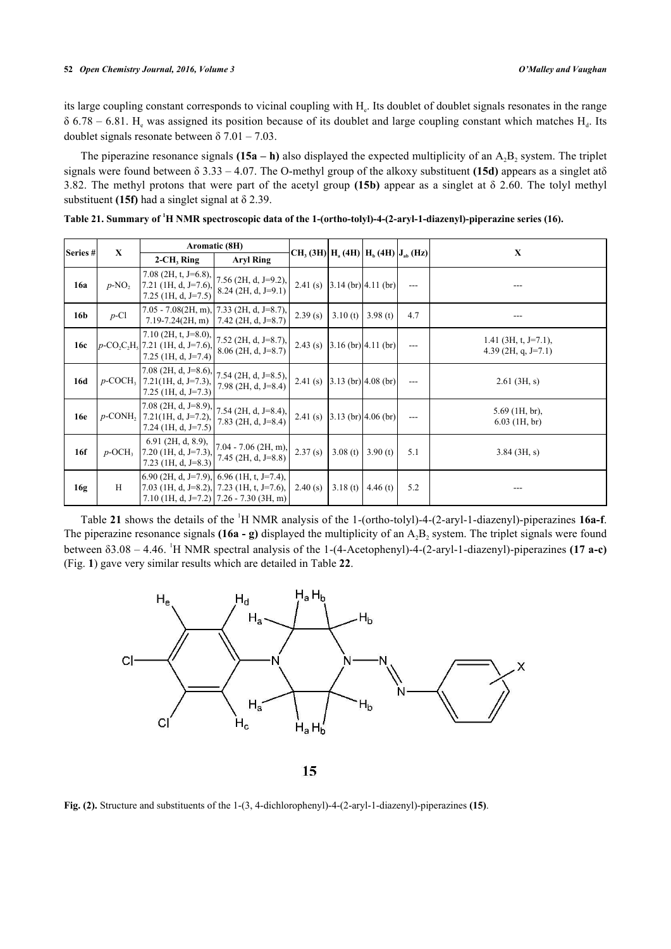its large coupling constant corresponds to vicinal coupling with H<sub>e</sub>. Its doublet of doublet signals resonates in the range  $\delta$  6.78 – 6.81. H<sub>e</sub> was assigned its position because of its doublet and large coupling constant which matches H<sub>d</sub>. Its doublet signals resonate between  $\delta$  7.01 – 7.03.

The piperazine resonance signals  $(15a - h)$  also displayed the expected multiplicity of an  $A_2B_2$  system. The triplet signals were found between  $\delta$  3.33 – 4.07. The O-methyl group of the alkoxy substituent (15d) appears as a singlet at $\delta$ 3.82. The methyl protons that were part of the acetyl group **(15b)** appear as a singlet at δ 2.60. The tolyl methyl substituent **(15f)** had a singlet signal at δ 2.39.

| Series#    | X                     | Aromatic (8H)                                                                                                               |                                                                                                                                     |                                             |         |                          |     | $\mathbf X$                                 |  |
|------------|-----------------------|-----------------------------------------------------------------------------------------------------------------------------|-------------------------------------------------------------------------------------------------------------------------------------|---------------------------------------------|---------|--------------------------|-----|---------------------------------------------|--|
|            |                       | 2-CH <sub>3</sub> Ring                                                                                                      | <b>Aryl Ring</b>                                                                                                                    | $CH_3(3H)$ $H_a(4H)$ $H_b(4H)$ $J_{ab}(Hz)$ |         |                          |     |                                             |  |
| 16a        | $p-NO$ ,              | 7.08 (2H, t, $J=6.8$ ),<br>7.21 (1H, d, J=7.6),<br>$7.25$ (1H, d, J=7.5)                                                    | $7.56$ (2H, d, J=9.2),<br>$8.24$ (2H, d, J=9.1)                                                                                     | 2.41(s)                                     |         | $3.14$ (br) $ 4.11$ (br) | --- |                                             |  |
| 16b        | $p$ -Cl               | $7.19 - 7.24(2H, m)$                                                                                                        | $7.05 - 7.08(2H, m)$ , $7.33(2H, d, J=8.7)$ ,<br>$7.42$ (2H, d, J=8.7)                                                              | 2.39(s)                                     | 3.10(t) | 3.98(t)                  | 4.7 | ---                                         |  |
| 16c        |                       | $7.10$ (2H, t, J=8.0),<br>$p$ -CO <sub>2</sub> C <sub>2</sub> H <sub>5</sub>  7.21 (1H, d, J=7.6),<br>$7.25$ (1H, d, J=7.4) | 7.52 (2H, d, J=8.7),<br>$8.06$ (2H, d, J=8.7)                                                                                       | 2.43(s)                                     |         | $3.16$ (br) $ 4.11$ (br) | --- | 1.41 (3H, t, J=7.1),<br>4.39 (2H, q, J=7.1) |  |
| 16d        | $p$ -COCH,            | $7.21(1H, d, J=7.3),$<br>$7.25$ (1H, d, J=7.3)                                                                              | $7.08$ (2H, d, J=8.6), 7.54 (2H, d, J=8.5),<br>7.98 (2H, d, J=8.4)                                                                  | 2.41(s)                                     |         | $3.13$ (br) $ 4.08$ (br) | --- | $2.61$ (3H, s)                              |  |
| <b>16e</b> | $p$ -CONH,            | $7.21(1H, d, J=7.2),$<br>7.24 (1H, d, J=7.5)                                                                                | $\overline{7.08}$ (2H, d, J=8.9), 7.54 (2H, d, J=8.4),<br>7.83 (2H, d, J=8.4)                                                       | 2.41(s)                                     |         | $3.13$ (br) $4.06$ (br)  |     | $5.69$ (1H, br),<br>$6.03$ (1H, br)         |  |
| 16f        | $p$ -OCH <sub>3</sub> | $6.91$ (2H, d, 8.9),<br>7.20 (1H, d, J=7.3),<br>$7.23$ (1H, d, J=8.3)                                                       | 7.04 - 7.06 (2H, m),<br>7.45 (2H, d, J=8.8)                                                                                         | 2.37(s)                                     | 3.08(t) | 3.90(t)                  | 5.1 | $3.84$ (3H, s)                              |  |
| 16g        | H                     |                                                                                                                             | 6.90 (2H, d, J=7.9), 6.96 (1H, t, J=7.4),<br>7.03 (1H, d, J=8.2), 7.23 (1H, t, J=7.6),<br>7.10 (1H, d, J=7.2)   7.26 - 7.30 (3H, m) | 2.40(s)                                     | 3.18(t) | 4.46(t)                  | 5.2 | ---                                         |  |

<span id="page-10-1"></span>**Table 21. Summary of <sup>1</sup>H NMR spectroscopic data of the 1-(ortho-tolyl)-4-(2-aryl-1-diazenyl)-piperazine series (16).**

<span id="page-10-0"></span>Table **[21](#page-10-1)** shows the details of the <sup>1</sup>H NMR analysis of the 1-(ortho-tolyl)-4-(2-aryl-1-diazenyl)-piperazines **16a-f**. The piperazine resonance signals  $(16a - g)$  displayed the multiplicity of an  $A_2B_2$  system. The triplet signals were found between δ3.08 – 4.46. <sup>1</sup>H NMR spectral analysis of the 1-(4-Acetophenyl)-4-(2-aryl-1-diazenyl)-piperazines **(17 a-c)** (Fig. **[1](#page-8-1)**) gave very similar results which are detailed in Table **[22](#page-11-0)**.



15

**Fig. (2).** Structure and substituents of the 1-(3, 4-dichlorophenyl)-4-(2-aryl-1-diazenyl)-piperazines **(15)**.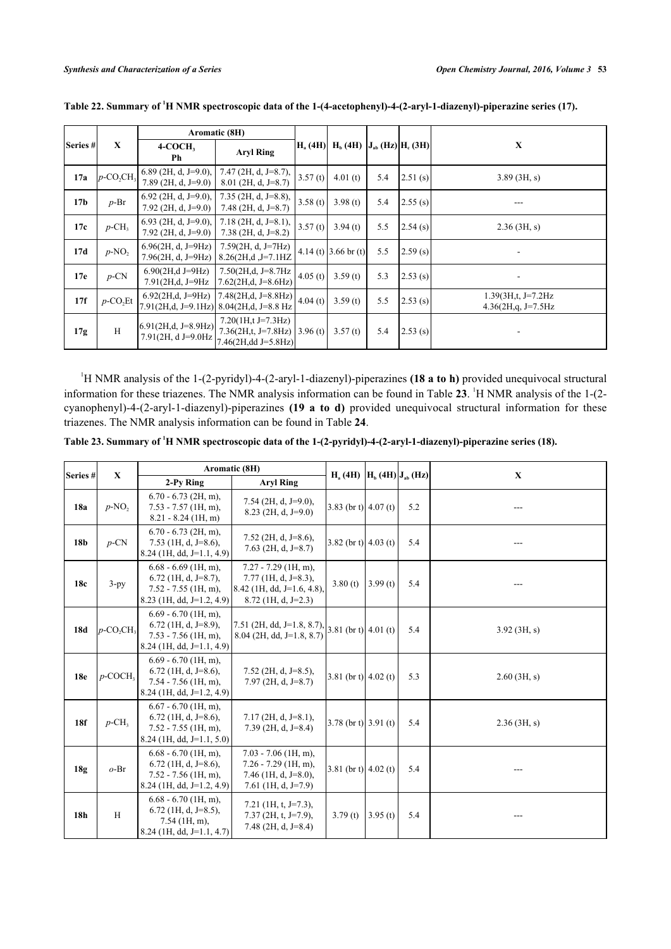|                 | X                                    | Aromatic (8H)                                   |                                                                               |         |                                              |     |            |                                               |  |
|-----------------|--------------------------------------|-------------------------------------------------|-------------------------------------------------------------------------------|---------|----------------------------------------------|-----|------------|-----------------------------------------------|--|
| Series#         |                                      | $4-COCH3$<br>Ph                                 | <b>Aryl Ring</b>                                                              |         | $ H_a (4H)  H_b (4H)  J_{ab} (Hz) H_c (3H) $ |     |            | X                                             |  |
| 17a             | $p$ -CO <sub>2</sub> CH <sub>3</sub> | $6.89$ (2H, d, J=9.0),<br>$7.89$ (2H, d, J=9.0) | $7.47$ (2H, d, J=8.7),<br>$8.01$ (2H, d, J=8.7)                               | 3.57(t) | 4.01(t)                                      | 5.4 | 2.51(s)    | 3.89(3H, s)                                   |  |
| 17 <sub>b</sub> | $p$ -Br                              | 6.92 (2H, d, J=9.0),<br>$7.92$ (2H, d, J=9.0)   | $7.35$ (2H, d, J=8.8),<br>$7.48$ (2H, d, J=8.7)                               | 3.58(t) | 3.98(t)                                      | 5.4 | 2.55(s)    |                                               |  |
| 17c             | $p$ -CH <sub>3</sub>                 | 6.93 (2H, d, J=9.0),<br>$7.92$ (2H, d, J=9.0)   | $7.18$ (2H, d, J=8.1),<br>$7.38$ (2H, d, J=8.2)                               | 3.57(t) | 3.94(t)                                      | 5.5 | 2.54 (s)   | $2.36$ (3H, s)                                |  |
| 17d             | $p-NO$ ,                             | $6.96(2H, d, J=9Hz)$<br>$7.96(2H, d, J=9Hz)$    | $7.59(2H, d, J=7Hz)$<br>$8.26(2H,d,J=7.1HZ)$                                  |         | 4.14 (t) 3.66 br (t)                         | 5.5 | 2.59(s)    |                                               |  |
| 17e             | $p$ -CN                              | $6.90(2H,d J=9Hz)$<br>7.91(2H,d, J=9Hz          | $7.50(2H,d, J=8.7Hz)$<br>$7.62(2H,d, J=8.6Hz)$                                | 4.05(t) | 3.59(t)                                      | 5.3 | $2.53$ (s) |                                               |  |
| 17f             | $p$ -CO <sub>2</sub> Et              | $6.92(2H,d, J=9Hz)$                             | $7.48(2H,d, J=8.8Hz)$<br>7.91(2H,d, J=9.1Hz) 8.04(2H,d, J=8.8 Hz              | 4.04(t) | 3.59(t)                                      | 5.5 | $2.53$ (s) | $1.39(3H,t, J=7.2Hz)$<br>$4.36(2H,g,J=7.5Hz)$ |  |
| 17g             | H                                    | $6.91(2H,d, J=8.9Hz)$<br>7.91(2H, d J=9.0Hz     | $7.20(1H,t J=7.3Hz)$<br>7.36(2H,t, J=7.8Hz) 3.96(t)<br>$7.46(2H, dd J=5.8Hz)$ |         | 3.57(t)                                      | 5.4 | 2.53 (s)   |                                               |  |

<span id="page-11-0"></span>**Table 22. Summary of <sup>1</sup>H NMR spectroscopic data of the 1-(4-acetophenyl)-4-(2-aryl-1-diazenyl)-piperazine series (17).**

<sup>1</sup>H NMR analysis of the 1-(2-pyridyl)-4-(2-aryl-1-diazenyl)-piperazines (18 a to h) provided unequivocal structural information for these triazenes. The NMR analysis information can be found in Table [23](#page-11-1). <sup>1</sup>H NMR analysis of the 1-(2cyanophenyl)-4-(2-aryl-1-diazenyl)-piperazines **(19 a to d)** provided unequivocal structural information for these triazenes. The NMR analysis information can be found in Table **[24](#page-12-5)**.

<span id="page-11-1"></span>**Table 23. Summary of <sup>1</sup>H NMR spectroscopic data of the 1-(2-pyridyl)-4-(2-aryl-1-diazenyl)-piperazine series (18).**

| Series#         | $\mathbf{X}$                         | Aromatic (8H)                                                                                             |                                                                                                         |                                     |         | $\mathbf X$ |                |
|-----------------|--------------------------------------|-----------------------------------------------------------------------------------------------------------|---------------------------------------------------------------------------------------------------------|-------------------------------------|---------|-------------|----------------|
|                 |                                      | 2-Pv Ring                                                                                                 | <b>Aryl Ring</b>                                                                                        | $H_a$ (4H) $H_b$ (4H) $J_{ab}$ (Hz) |         |             |                |
| 18a             | $p-NO$ ,                             | $6.70 - 6.73$ (2H, m),<br>$7.53 - 7.57$ (1H, m),<br>$8.21 - 8.24$ (1H, m)                                 | 7.54 (2H, d, J=9.0),<br>$8.23$ (2H, d, J=9.0)                                                           | 3.83 (br t) $4.07$ (t)              |         | 5.2         |                |
| 18 <sub>b</sub> | $p$ -CN                              | $6.70 - 6.73$ (2H, m),<br>7.53 (1H, d, J=8.6),<br>$8.24$ (1H, dd, J=1.1, 4.9)                             | $7.52$ (2H, d, J=8.6),<br>$7.63$ (2H, d, J=8.7)                                                         | 3.82 (br t) 4.03 (t)                |         | 5.4         |                |
| 18c             | $3-py$                               | $6.68 - 6.69$ (1H, m),<br>$6.72$ (1H, d, J=8.7),<br>$7.52 - 7.55$ (1H, m),<br>$8.23$ (1H, dd, J=1.2, 4.9) | $7.27 - 7.29$ (1H, m),<br>$7.77$ (1H, d, J=8.3),<br>8.42 (1H, dd, J=1.6, 4.8),<br>$8.72$ (1H, d, J=2.3) | 3.80(t)                             | 3.99(t) | 5.4         |                |
| 18d             | $p$ -CO <sub>2</sub> CH <sub>3</sub> | $6.69 - 6.70$ (1H, m),<br>$6.72$ (1H, d, J=8.9),<br>$7.53 - 7.56$ (1H, m),<br>$8.24$ (1H, dd, J=1.1, 4.9) | 7.51 (2H, dd, J=1.8, 8.7), 3.81 (br t) 4.01 (t)<br>$8.04$ (2H, dd, J=1.8, 8.7)                          |                                     |         | 5.4         | $3.92$ (3H, s) |
| <b>18e</b>      | $p$ -COCH,                           | $6.69 - 6.70$ (1H, m),<br>$6.72$ (1H, d, J=8.6),<br>$7.54 - 7.56$ (1H, m),<br>8.24 (1H, dd, J=1.2, 4.9)   | 7.52 (2H, d, J=8.5),<br>$7.97$ (2H, d, J=8.7)                                                           | 3.81 (br t) $4.02$ (t)              |         | 5.3         | $2.60$ (3H, s) |
| 18f             | $p$ -CH <sub>3</sub>                 | $6.67 - 6.70$ (1H, m),<br>$6.72$ (1H, d, J=8.6),<br>$7.52 - 7.55$ (1H, m),<br>$8.24$ (1H, dd, J=1.1, 5.0) | $7.17$ (2H, d, J=8.1),<br>$7.39$ (2H, d, J=8.4)                                                         | 3.78 (br t) $3.91$ (t)              |         | 5.4         | 2.36(3H, s)    |
| 18g             | $o$ -Br                              | $6.68 - 6.70$ (1H, m),<br>$6.72$ (1H, d, J=8.6),<br>$7.52 - 7.56$ (1H, m),<br>8.24 (1H, dd, J=1.2, 4.9)   | $7.03 - 7.06$ (1H, m),<br>$7.26 - 7.29$ (1H, m),<br>7.46 (1H, d, J=8.0),<br>7.61 (1H, d, J=7.9)         | 3.81 (br t) $4.02$ (t)              |         | 5.4         |                |
| 18 <sub>h</sub> | $\,$ H                               | $6.68 - 6.70$ (1H, m),<br>$6.72$ (1H, d, J=8.5),<br>$7.54$ (1H, m),<br>$8.24$ (1H, dd, J=1.1, 4.7)        | 7.21 (1H, t, J=7.3),<br>$7.37$ (2H, t, J=7.9),<br>7.48 (2H, d, $J=8.4$ )                                | 3.79(t)                             | 3.95(t) | 5.4         |                |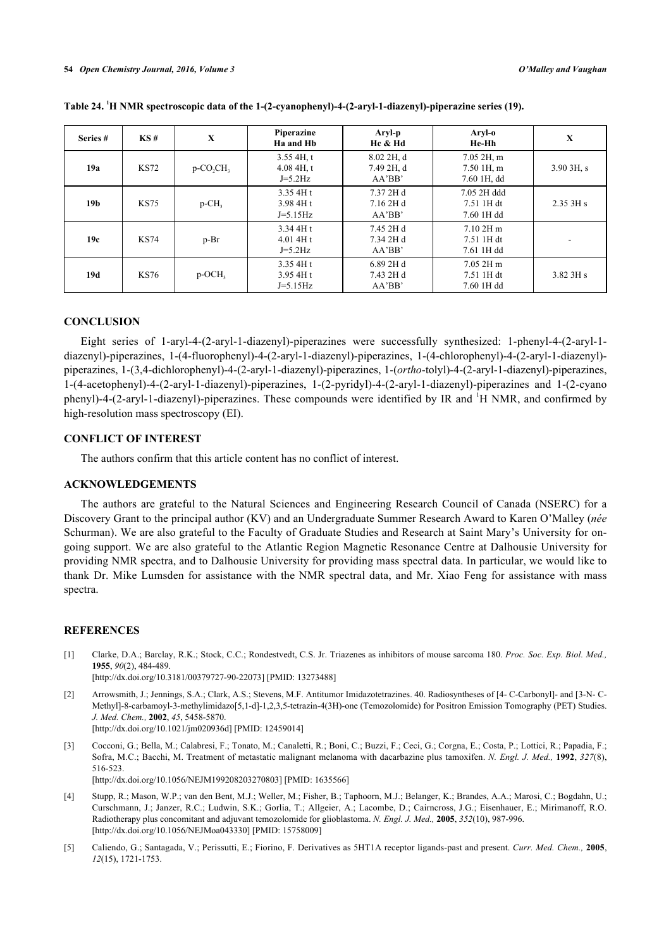| Series # | KS#         | $\mathbf X$                          | Piperazine<br>Ha and Hb                       | Aryl-p<br>Hc & Hd                    | Aryl-0<br>He-Hh                                | X              |
|----------|-------------|--------------------------------------|-----------------------------------------------|--------------------------------------|------------------------------------------------|----------------|
| 19a      | <b>KS72</b> | $p$ -CO <sub>2</sub> CH <sub>3</sub> | 3.554H, t<br>$4.08$ 4H, t<br>$J=5.2\text{Hz}$ | $8.02$ 2H, d<br>7.49 2H, d<br>AA'BB' | $7.05$ 2H, m<br>$7.50$ 1H, m<br>7.60 1H, dd    | $3.90$ $3H, s$ |
| 19b      | <b>KS75</b> | $p$ -CH <sub>3</sub>                 | 3.35 4H t<br>3.98 4H t<br>$J=5.15\text{Hz}$   | 7.372Hd<br>7.162Hd<br>AA'BB'         | 7.05 2H ddd<br>7.51 1H dt<br>7.60 1H dd        | $2.35$ 3H s    |
| 19c      | <b>KS74</b> | $p-Br$                               | 3.344Ht<br>4.014Ht<br>$J=5.2\text{Hz}$        | 7.452Hd<br>7.34 2H d<br>AA'BB'       | $7.102H \text{ m}$<br>7.51 1H dt<br>7.61 1H dd |                |
| 19d      | <b>KS76</b> | $p-OCH3$                             | 3.35 4H t<br>3.954Ht<br>$J=5.15Hz$            | 6.892Hd<br>7.43 2H d<br>AA'BB'       | $7.052H \text{ m}$<br>7.51 1H dt<br>7.60 1H dd | 3.82 3H s      |

<span id="page-12-5"></span>

| Table 24. 'H NMR spectroscopic data of the 1-(2-cyanophenyl)-4-(2-aryl-1-diazenyl)-piperazine series (19). |  |  |  |  |  |  |
|------------------------------------------------------------------------------------------------------------|--|--|--|--|--|--|
|------------------------------------------------------------------------------------------------------------|--|--|--|--|--|--|

#### **CONCLUSION**

Eight series of 1-aryl-4-(2-aryl-1-diazenyl)-piperazines were successfully synthesized: 1-phenyl-4-(2-aryl-1 diazenyl)-piperazines, 1-(4-fluorophenyl)-4-(2-aryl-1-diazenyl)-piperazines, 1-(4-chlorophenyl)-4-(2-aryl-1-diazenyl) piperazines, 1-(3,4-dichlorophenyl)-4-(2-aryl-1-diazenyl)-piperazines, 1-(*ortho*-tolyl)-4-(2-aryl-1-diazenyl)-piperazines, 1-(4-acetophenyl)-4-(2-aryl-1-diazenyl)-piperazines, 1-(2-pyridyl)-4-(2-aryl-1-diazenyl)-piperazines and 1-(2-cyano phenyl)-4-(2-aryl-1-diazenyl)-piperazines. These compounds were identified by IR and <sup>1</sup>H NMR, and confirmed by high-resolution mass spectroscopy (EI).

# **CONFLICT OF INTEREST**

The authors confirm that this article content has no conflict of interest.

# **ACKNOWLEDGEMENTS**

The authors are grateful to the Natural Sciences and Engineering Research Council of Canada (NSERC) for a Discovery Grant to the principal author (KV) and an Undergraduate Summer Research Award to Karen O'Malley (*née* Schurman). We are also grateful to the Faculty of Graduate Studies and Research at Saint Mary's University for ongoing support. We are also grateful to the Atlantic Region Magnetic Resonance Centre at Dalhousie University for providing NMR spectra, and to Dalhousie University for providing mass spectral data. In particular, we would like to thank Dr. Mike Lumsden for assistance with the NMR spectral data, and Mr. Xiao Feng for assistance with mass spectra.

## **REFERENCES**

- <span id="page-12-0"></span>[1] Clarke, D.A.; Barclay, R.K.; Stock, C.C.; Rondestvedt, C.S. Jr. Triazenes as inhibitors of mouse sarcoma 180. *Proc. Soc. Exp. Biol. Med.,* **1955**, *90*(2), 484-489.
	- [\[http://dx.doi.org/10.3181/00379727-90-22073](http://dx.doi.org/10.3181/00379727-90-22073)] [PMID: [13273488\]](http://www.ncbi.nlm.nih.gov/pubmed/13273488)
- <span id="page-12-1"></span>[2] Arrowsmith, J.; Jennings, S.A.; Clark, A.S.; Stevens, M.F. Antitumor Imidazotetrazines. 40. Radiosyntheses of [4- C-Carbonyl]- and [3-N- C-Methyl]-8-carbamoyl-3-methylimidazo[5,1-d]-1,2,3,5-tetrazin-4(3H)-one (Temozolomide) for Positron Emission Tomography (PET) Studies. *J. Med. Chem.,* **2002**, *45*, 5458-5870. [\[http://dx.doi.org/10.1021/jm020936d](http://dx.doi.org/10.1021/jm020936d)] [PMID: [12459014\]](http://www.ncbi.nlm.nih.gov/pubmed/12459014)
- <span id="page-12-2"></span>[3] Cocconi, G.; Bella, M.; Calabresi, F.; Tonato, M.; Canaletti, R.; Boni, C.; Buzzi, F.; Ceci, G.; Corgna, E.; Costa, P.; Lottici, R.; Papadia, F.; Sofra, M.C.; Bacchi, M. Treatment of metastatic malignant melanoma with dacarbazine plus tamoxifen. *N. Engl. J. Med.,* **1992**, *327*(8), 516-523. [\[http://dx.doi.org/10.1056/NEJM199208203270803\]](http://dx.doi.org/10.1056/NEJM199208203270803) [PMID: [1635566](http://www.ncbi.nlm.nih.gov/pubmed/1635566)]
- <span id="page-12-3"></span>[4] Stupp, R.; Mason, W.P.; van den Bent, M.J.; Weller, M.; Fisher, B.; Taphoorn, M.J.; Belanger, K.; Brandes, A.A.; Marosi, C.; Bogdahn, U.; Curschmann, J.; Janzer, R.C.; Ludwin, S.K.; Gorlia, T.; Allgeier, A.; Lacombe, D.; Cairncross, J.G.; Eisenhauer, E.; Mirimanoff, R.O. Radiotherapy plus concomitant and adjuvant temozolomide for glioblastoma. *N. Engl. J. Med.,* **2005**, *352*(10), 987-996. [\[http://dx.doi.org/10.1056/NEJMoa043330](http://dx.doi.org/10.1056/NEJMoa043330)] [PMID: [15758009\]](http://www.ncbi.nlm.nih.gov/pubmed/15758009)
- <span id="page-12-4"></span>[5] Caliendo, G.; Santagada, V.; Perissutti, E.; Fiorino, F. Derivatives as 5HT1A receptor ligands-past and present. *Curr. Med. Chem.,* **2005**, *12*(15), 1721-1753.